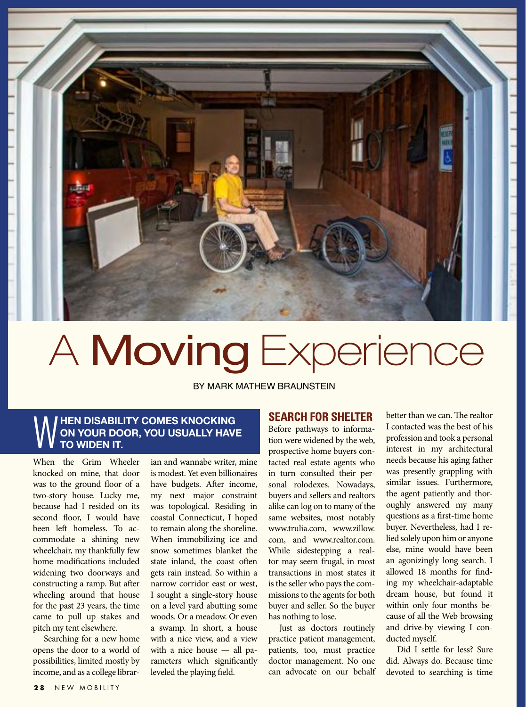

# A Moving Experience

BY MARK MATHEW BRAUNSTEIN

### **WHEN DISABILITY COMES KNOCKING<br>WWW.POUR DOOR, YOU USUALLY HAVE<br>TO WIDEN IT. ON YOUR DOOR, YOU USUALLY HAVE TO WIDEN IT.**

When the Grim Wheeler knocked on mine, that door was to the ground floor of a two-story house. Lucky me, because had I resided on its second floor, I would have been left homeless. To accommodate a shining new wheelchair, my thankfully few home modifications included widening two doorways and constructing a ramp. But after wheeling around that house for the past 23 years, the time came to pull up stakes and pitch my tent elsewhere.

Searching for a new home opens the door to a world of possibilities, limited mostly by income, and as a college librarian and wannabe writer, mine is modest. Yet even billionaires have budgets. After income, my next major constraint was topological. Residing in coastal Connecticut, I hoped to remain along the shoreline. When immobilizing ice and snow sometimes blanket the state inland, the coast often gets rain instead. So within a narrow corridor east or west, I sought a single-story house on a level yard abutting some woods. Or a meadow. Or even a swamp. In short, a house with a nice view, and a view with a nice house — all parameters which significantly leveled the playing field.

#### **SEARCH FOR SHELTER**

Before pathways to information were widened by the web, prospective home buyers contacted real estate agents who in turn consulted their personal rolodexes. Nowadays, buyers and sellers and realtors alike can log on to many of the same websites, most notably www.trulia.com, www.zillow. com, and www.realtor.com. While sidestepping a realtor may seem frugal, in most transactions in most states it is the seller who pays the commissions to the agents for both buyer and seller. So the buyer has nothing to lose.

Just as doctors routinely practice patient management, patients, too, must practice doctor management. No one can advocate on our behalf better than we can. The realtor I contacted was the best of his profession and took a personal interest in my architectural needs because his aging father was presently grappling with similar issues. Furthermore, the agent patiently and thoroughly answered my many questions as a first-time home buyer. Nevertheless, had I relied solely upon him or anyone else, mine would have been an agonizingly long search. I allowed 18 months for finding my wheelchair-adaptable dream house, but found it within only four months because of all the Web browsing and drive-by viewing I conducted myself.

Did I settle for less? Sure did. Always do. Because time devoted to searching is time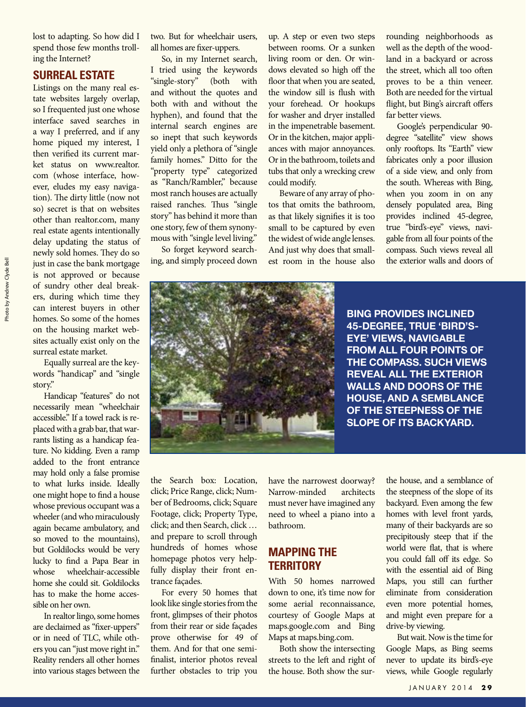lost to adapting. So how did I spend those few months trolling the Internet?

#### **SURREAL ESTATE**

Listings on the many real estate websites largely overlap, so I frequented just one whose interface saved searches in a way I preferred, and if any home piqued my interest, I then verified its current market status on www.realtor. com (whose interface, however, eludes my easy navigation). The dirty little (now not so) secret is that on websites other than realtor.com, many real estate agents intentionally delay updating the status of newly sold homes. They do so just in case the bank mortgage is not approved or because of sundry other deal breakers, during which time they can interest buyers in other homes. So some of the homes on the housing market websites actually exist only on the surreal estate market.

Equally surreal are the keywords "handicap" and "single story."

Handicap "features" do not necessarily mean "wheelchair accessible." If a towel rack is replaced with a grab bar, that warrants listing as a handicap feature. No kidding. Even a ramp added to the front entrance may hold only a false promise to what lurks inside. Ideally one might hope to find a house whose previous occupant was a wheeler (and who miraculously again became ambulatory, and so moved to the mountains), but Goldilocks would be very lucky to find a Papa Bear in whose wheelchair-accessible home she could sit. Goldilocks has to make the home accessible on her own.

In realtor lingo, some homes are declaimed as "fixer-uppers" or in need of TLC, while others you can "just move right in." Reality renders all other homes into various stages between the two. But for wheelchair users, all homes are fixer-uppers.

So, in my Internet search, I tried using the keywords "single-story" (both with and without the quotes and both with and without the hyphen), and found that the internal search engines are so inept that such keywords yield only a plethora of "single family homes." Ditto for the "property type" categorized as "Ranch/Rambler," because most ranch houses are actually raised ranches. Thus "single story" has behind it more than one story, few of them synonymous with "single level living."

So forget keyword searching, and simply proceed down up. A step or even two steps between rooms. Or a sunken living room or den. Or windows elevated so high off the floor that when you are seated, the window sill is flush with your forehead. Or hookups for washer and dryer installed in the impenetrable basement. Or in the kitchen, major appliances with major annoyances. Or in the bathroom, toilets and tubs that only a wrecking crew could modify.

Beware of any array of photos that omits the bathroom, as that likely signifies it is too small to be captured by even the widest of wide angle lenses. And just why does that smallest room in the house also rounding neighborhoods as well as the depth of the woodland in a backyard or across the street, which all too often proves to be a thin veneer. Both are needed for the virtual flight, but Bing's aircraft offers far better views.

Google's perpendicular 90 degree "satellite" view shows only rooftops. Its "Earth" view fabricates only a poor illusion of a side view, and only from the south. Whereas with Bing, when you zoom in on any densely populated area, Bing provides inclined 45-degree, true "bird's-eye" views, navigable from all four points of the compass. Such views reveal all the exterior walls and doors of



**BING PROVIDES INCLINED 45-DEGREE, TRUE 'BIRD'S-EYE' VIEWS, NAVIGABLE FROM ALL FOUR POINTS OF THE COMPASS. SUCH VIEWS REVEAL ALL THE EXTERIOR WALLS AND DOORS OF THE HOUSE, AND A SEMBLANCE OF THE STEEPNESS OF THE SLOPE OF ITS BACKYARD.**

the Search box: Location, click; Price Range, click; Number of Bedrooms, click; Square Footage, click; Property Type, click; and then Search, click … and prepare to scroll through hundreds of homes whose homepage photos very helpfully display their front entrance façades.

For every 50 homes that look like single stories from the front, glimpses of their photos from their rear or side façades prove otherwise for 49 of them. And for that one semi finalist, interior photos reveal further obstacles to trip you

have the narrowest doorway? Narrow-minded architects must never have imagined any need to wheel a piano into a bathroom.

## **MAPPING THE TERRITORY**

With 50 homes narrowed down to one, it's time now for some aerial reconnaissance, courtesy of Google Maps at maps.google.com and Bing Maps at maps.bing.com.

Both show the intersecting streets to the left and right of the house. Both show the sur-

the house, and a semblance of the steepness of the slope of its backyard. Even among the few homes with level front yards, many of their backyards are so precipitously steep that if the world were flat, that is where you could fall off its edge. So with the essential aid of Bing Maps, you still can further eliminate from consideration even more potential homes, and might even prepare for a drive-by viewing.

But wait. Now is the time for Google Maps, as Bing seems never to update its bird's-eye views, while Google regularly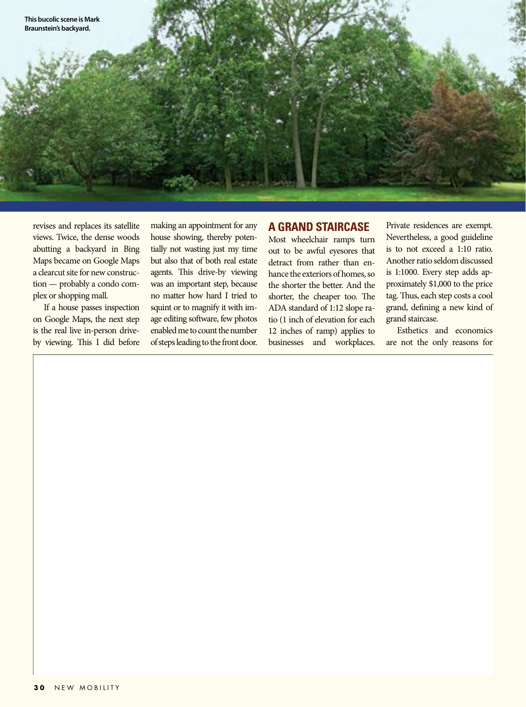

revises and replaces its satellite views. Twice, the dense woods abutting a backyard in Bing Maps became on Google Maps a clearcut site for new construction — probably a condo complex or shopping mall.

If a house passes inspection on Google Maps, the next step is the real live in-person driveby viewing. This I did before making an appointment for any house showing, thereby potentially not wasting just my time but also that of both real estate agents. This drive-by viewing was an important step, because no matter how hard I tried to squint or to magnify it with image editing software, few photos enabled me to count the number of steps leading to the front door.

#### **A GRAND STAIRCASE**

Most wheelchair ramps turn out to be awful eyesores that detract from rather than enhance the exteriors of homes, so the shorter the better. And the shorter, the cheaper too. The ADA standard of 1:12 slope ratio (1 inch of elevation for each 12 inches of ramp) applies to businesses and workplaces. Private residences are exempt. Nevertheless, a good guideline is to not exceed a 1:10 ratio. Another ratio seldom discussed is 1:1000. Every step adds approximately \$1,000 to the price tag. Thus, each step costs a cool grand, defining a new kind of grand staircase.

Esthetics and economics are not the only reasons for